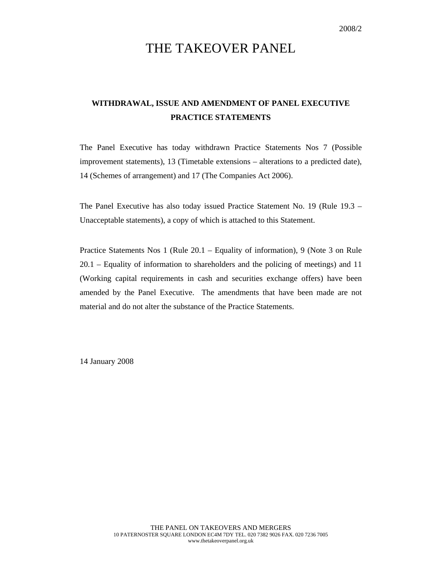# THE TAKEOVER PANEL

### **WITHDRAWAL, ISSUE AND AMENDMENT OF PANEL EXECUTIVE PRACTICE STATEMENTS**

The Panel Executive has today withdrawn Practice Statements Nos 7 (Possible improvement statements), 13 (Timetable extensions – alterations to a predicted date), 14 (Schemes of arrangement) and 17 (The Companies Act 2006).

The Panel Executive has also today issued Practice Statement No. 19 (Rule 19.3 – Unacceptable statements), a copy of which is attached to this Statement.

Practice Statements Nos 1 (Rule 20.1 – Equality of information), 9 (Note 3 on Rule 20.1 – Equality of information to shareholders and the policing of meetings) and 11 (Working capital requirements in cash and securities exchange offers) have been amended by the Panel Executive. The amendments that have been made are not material and do not alter the substance of the Practice Statements.

14 January 2008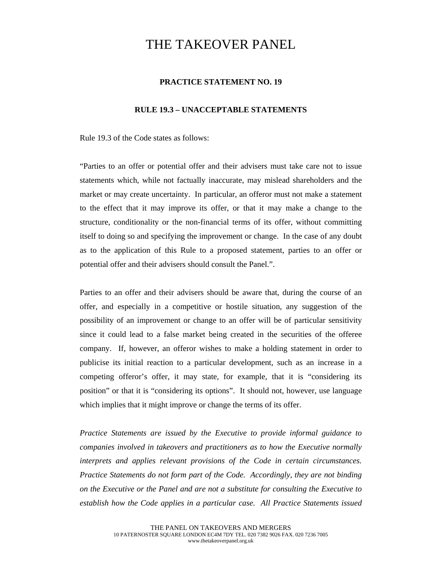## THE TAKEOVER PANEL

### **PRACTICE STATEMENT NO. 19**

#### **RULE 19.3 – UNACCEPTABLE STATEMENTS**

Rule 19.3 of the Code states as follows:

"Parties to an offer or potential offer and their advisers must take care not to issue statements which, while not factually inaccurate, may mislead shareholders and the market or may create uncertainty. In particular, an offeror must not make a statement to the effect that it may improve its offer, or that it may make a change to the structure, conditionality or the non-financial terms of its offer, without committing itself to doing so and specifying the improvement or change. In the case of any doubt as to the application of this Rule to a proposed statement, parties to an offer or potential offer and their advisers should consult the Panel.".

Parties to an offer and their advisers should be aware that, during the course of an offer, and especially in a competitive or hostile situation, any suggestion of the possibility of an improvement or change to an offer will be of particular sensitivity since it could lead to a false market being created in the securities of the offeree company. If, however, an offeror wishes to make a holding statement in order to publicise its initial reaction to a particular development, such as an increase in a competing offeror's offer, it may state, for example, that it is "considering its position" or that it is "considering its options". It should not, however, use language which implies that it might improve or change the terms of its offer.

*Practice Statements are issued by the Executive to provide informal guidance to companies involved in takeovers and practitioners as to how the Executive normally interprets and applies relevant provisions of the Code in certain circumstances. Practice Statements do not form part of the Code. Accordingly, they are not binding on the Executive or the Panel and are not a substitute for consulting the Executive to establish how the Code applies in a particular case. All Practice Statements issued*